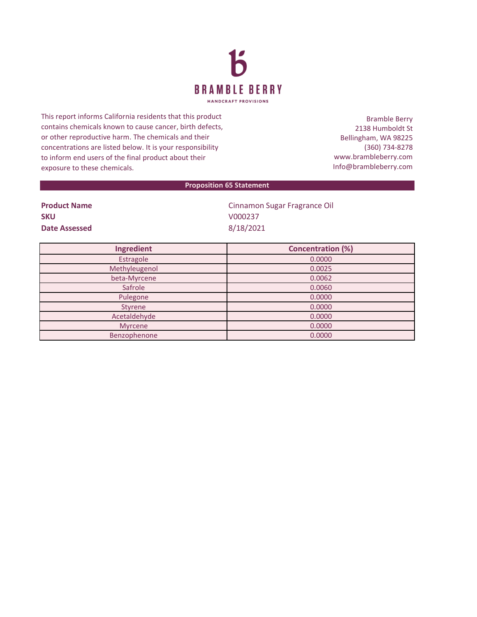

This report informs California residents that this product contains chemicals known to cause cancer, birth defects, or other reproductive harm. The chemicals and their concentrations are listed below. It is your responsibility to inform end users of the final product about their exposure to these chemicals.

Bramble Berry 2138 Humboldt St Bellingham, WA 98225 (360) 734-8278 www.brambleberry.com Info@brambleberry.com

## **Proposition 65 Statement**

| <b>Product Name</b> | Cinnamon  |
|---------------------|-----------|
| <b>SKU</b>          | V000237   |
| Date Assessed       | 8/18/2021 |

**namon Sugar Fragrance Oil** 

| Ingredient    | <b>Concentration (%)</b> |
|---------------|--------------------------|
| Estragole     | 0.0000                   |
| Methyleugenol | 0.0025                   |
| beta-Myrcene  | 0.0062                   |
| Safrole       | 0.0060                   |
| Pulegone      | 0.0000                   |
| Styrene       | 0.0000                   |
| Acetaldehyde  | 0.0000                   |
| Myrcene       | 0.0000                   |
| Benzophenone  | 0.0000                   |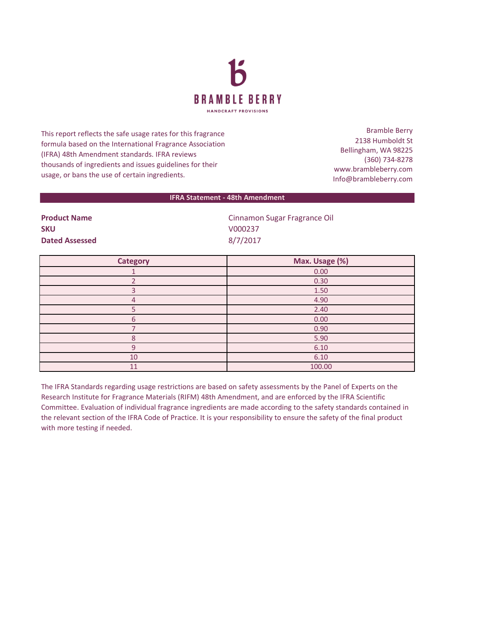

This report reflects the safe usage rates for this fragrance formula based on the International Fragrance Association (IFRA) 48th Amendment standards. IFRA reviews thousands of ingredients and issues guidelines for their usage, or bans the use of certain ingredients.

Bramble Berry 2138 Humboldt St Bellingham, WA 98225 (360) 734-8278 www.brambleberry.com Info@brambleberry.com

## **IFRA Statement - 48th Amendment**

| <b>Product Name</b>   |  |  |
|-----------------------|--|--|
| <b>SKU</b>            |  |  |
| <b>Dated Assessed</b> |  |  |

**Product Name** Cinnamon Sugar Fragrance Oil **SKU** V000237 **Dated Assessed** 8/7/2017

| <b>Category</b> | Max. Usage (%) |
|-----------------|----------------|
|                 | 0.00           |
|                 | 0.30           |
| з               | 1.50           |
| 4               | 4.90           |
|                 | 2.40           |
| 6               | 0.00           |
|                 | 0.90           |
| Я               | 5.90           |
| 9               | 6.10           |
| 10              | 6.10           |
| 11              | 100.00         |

The IFRA Standards regarding usage restrictions are based on safety assessments by the Panel of Experts on the Research Institute for Fragrance Materials (RIFM) 48th Amendment, and are enforced by the IFRA Scientific Committee. Evaluation of individual fragrance ingredients are made according to the safety standards contained in the relevant section of the IFRA Code of Practice. It is your responsibility to ensure the safety of the final product with more testing if needed.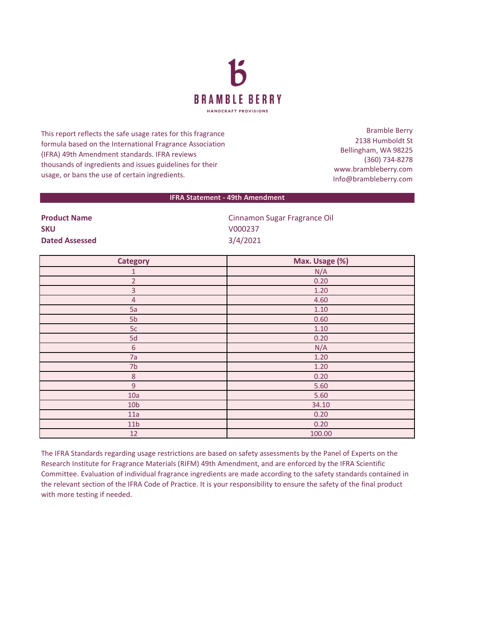

This report reflects the safe usage rates for this fragrance formula based on the International Fragrance Association (IFRA) 49th Amendment standards. IFRA reviews thousands of ingredients and issues guidelines for their usage, or bans the use of certain ingredients.

Bramble Berry 2138 Humboldt St Bellingham, WA 98225 (360) 734-8278 www.brambleberry.com Info@brambleberry.com

## **IFRA Statement - 49th Amendment**

| <b>FIUUULLIVAIIIE</b> |
|-----------------------|
| <b>SKU</b>            |
| <b>Dated Assessed</b> |

**Product Name** Cinnamon Sugar Fragrance Oil **SKU** V000237 **Dated Assessed** 3/4/2021

| <b>Category</b> | Max. Usage (%) |
|-----------------|----------------|
| $\mathbf{1}$    | N/A            |
| $\overline{2}$  | 0.20           |
| 3               | 1.20           |
| $\overline{4}$  | 4.60           |
| 5a              | 1.10           |
| 5b              | 0.60           |
| 5c              | 1.10           |
| 5d              | 0.20           |
| $\sqrt{6}$      | N/A            |
| 7a              | 1.20           |
| 7b              | 1.20           |
| $\,8\,$         | 0.20           |
| 9               | 5.60           |
| 10a             | 5.60           |
| 10 <sub>b</sub> | 34.10          |
| 11a             | 0.20           |
| 11 <sub>b</sub> | 0.20           |
| 12              | 100.00         |

The IFRA Standards regarding usage restrictions are based on safety assessments by the Panel of Experts on the Research Institute for Fragrance Materials (RIFM) 49th Amendment, and are enforced by the IFRA Scientific Committee. Evaluation of individual fragrance ingredients are made according to the safety standards contained in the relevant section of the IFRA Code of Practice. It is your responsibility to ensure the safety of the final product with more testing if needed.